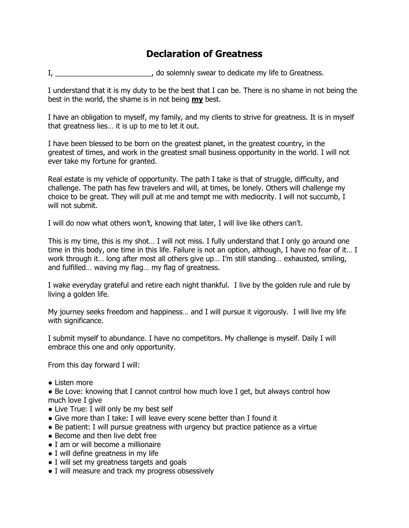## **Declaration of Greatness**

I, \_\_\_\_\_\_\_\_\_\_\_\_\_\_\_\_\_\_\_\_\_\_\_\_\_\_, do solemnly swear to dedicate my life to Greatness.

I understand that it is my duty to be the best that I can be. There is no shame in not being the best in the world, the shame is in not being **my** best.

I have an obligation to myself, my family, and my clients to strive for greatness. It is in myself that greatness lies… it is up to me to let it out.

I have been blessed to be born on the greatest planet, in the greatest country, in the greatest of times, and work in the greatest small business opportunity in the world. I will not ever take my fortune for granted.

Real estate is my vehicle of opportunity. The path I take is that of struggle, difficulty, and challenge. The path has few travelers and will, at times, be lonely. Others will challenge my choice to be great. They will pull at me and tempt me with mediocrity. I will not succumb, I will not submit.

I will do now what others won't, knowing that later, I will live like others can't.

This is my time, this is my shot… I will not miss. I fully understand that I only go around one time in this body, one time in this life. Failure is not an option, although, I have no fear of it… I work through it… long after most all others give up… I'm still standing… exhausted, smiling, and fulfilled… waving my flag… my flag of greatness.

I wake everyday grateful and retire each night thankful. I live by the golden rule and rule by living a golden life.

My journey seeks freedom and happiness… and I will pursue it vigorously. I will live my life with significance.

I submit myself to abundance. I have no competitors. My challenge is myself. Daily I will embrace this one and only opportunity.

From this day forward I will:

● Listen more

• Be Love: knowing that I cannot control how much love I get, but always control how much love I give

- Live True: I will only be my best self
- Give more than I take: I will leave every scene better than I found it
- Be patient: I will pursue greatness with urgency but practice patience as a virtue
- Become and then live debt free
- I am or will become a millionaire
- I will define greatness in my life
- I will set my greatness targets and goals
- I will measure and track my progress obsessively